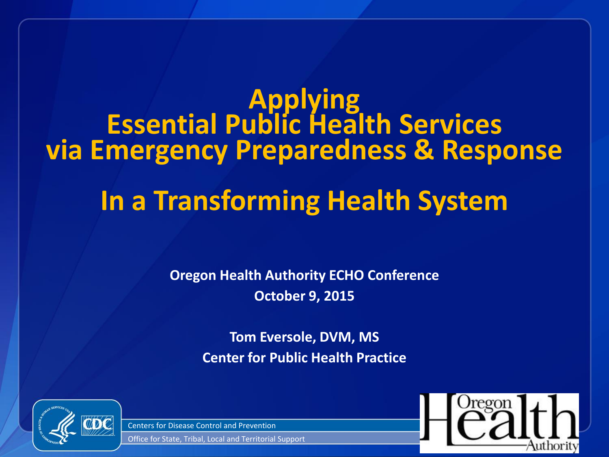# **Applying Essential Public Health Services via Emergency Preparedness & Response In a Transforming Health System**

**Oregon Health Authority ECHO Conference October 9, 2015**

> **Tom Eversole, DVM, MS Center for Public Health Practice**



Centers for Disease Control and Prevention

Office for State, Tribal, Local and Territorial Support

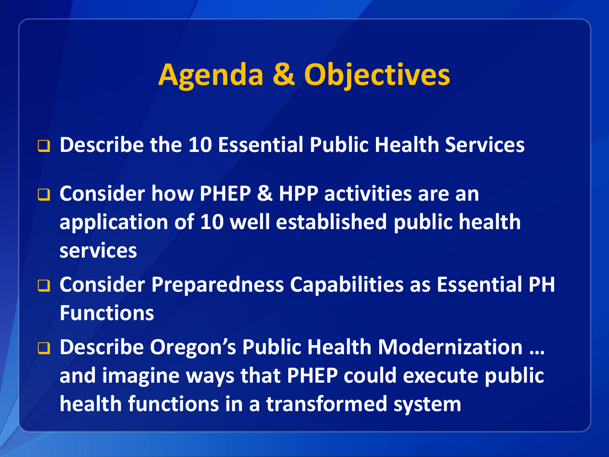## **Agenda & Objectives**

**Describe the 10 Essential Public Health Services**

- **Consider how PHEP & HPP activities are an application of 10 well established public health services**
- **Consider Preparedness Capabilities as Essential PH Functions**
- **Describe Oregon's Public Health Modernization … and imagine ways that PHEP could execute public health functions in a transformed system**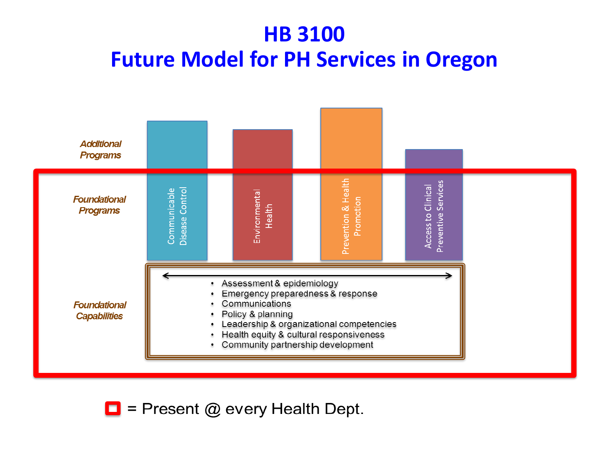#### **HB 3100 Future Model for PH Services in Oregon**



 $\Box$  = Present @ every Health Dept.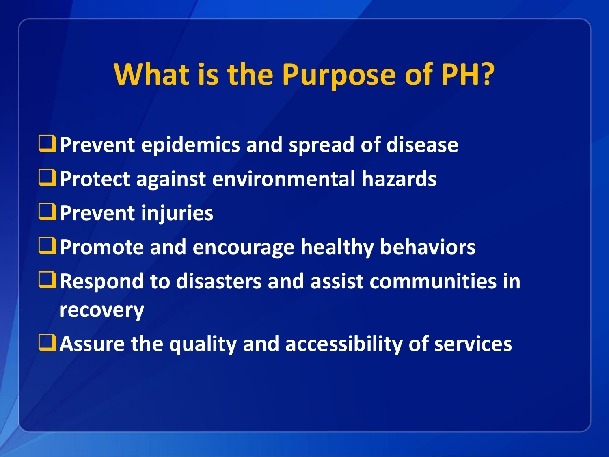#### **What is the Purpose of PH?**

**Prevent epidemics and spread of disease Protect against environmental hazards Prevent injuries Promote and encourage healthy behaviors ■ Respond to disasters and assist communities in recovery**

**Assure the quality and accessibility of services**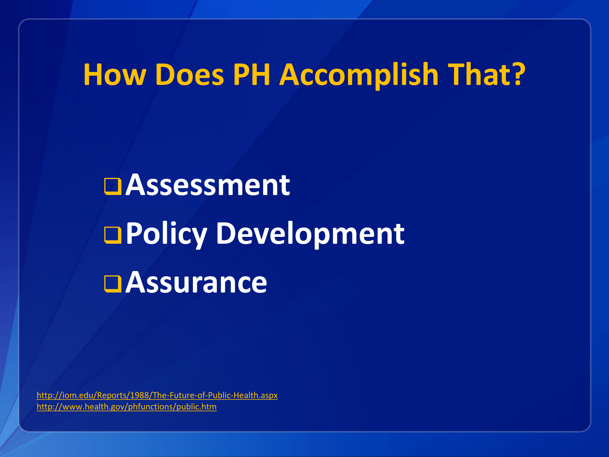# **How Does PH Accomplish That?**

# **Assessment Policy Development Assurance**

<http://iom.edu/Reports/1988/The-Future-of-Public-Health.aspx> <http://www.health.gov/phfunctions/public.htm>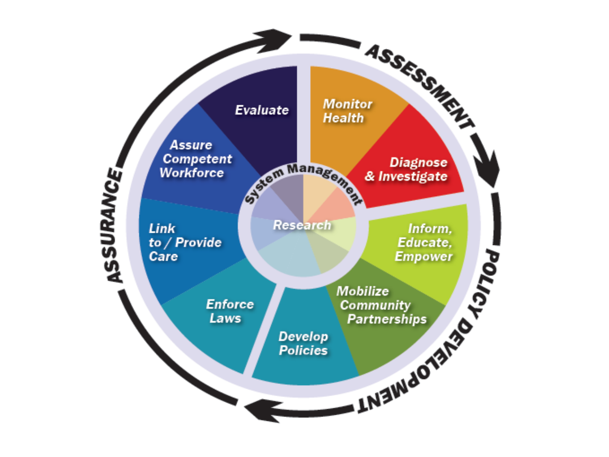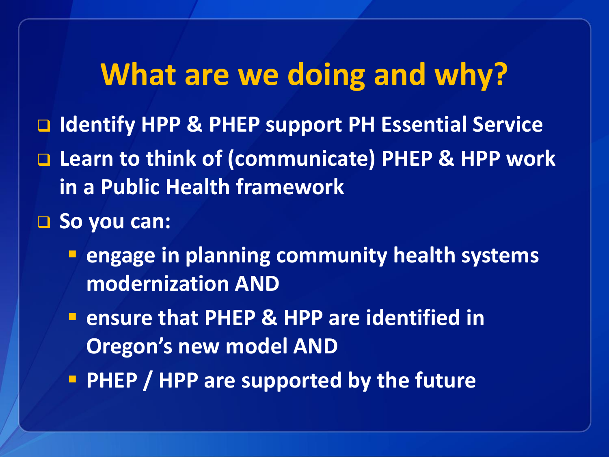#### **What are we doing and why?**

- **Identify HPP & PHEP support PH Essential Service**
- **Learn to think of (communicate) PHEP & HPP work in a Public Health framework**
- □ So you can:
	- **engage in planning community health systems modernization AND**
	- **E** ensure that PHEP & HPP are identified in **Oregon's new model AND**
	- **PHEP / HPP are supported by the future**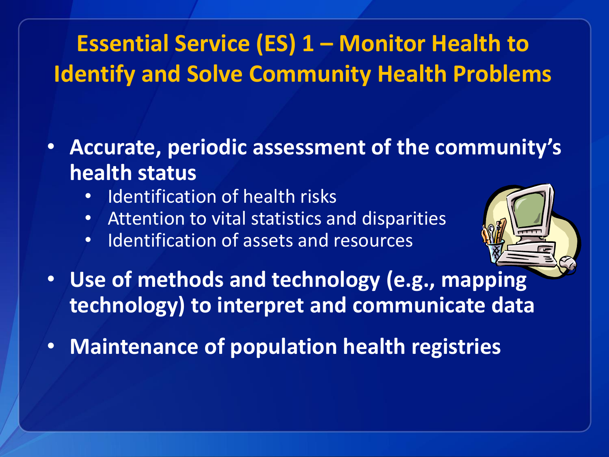#### **Essential Service (ES) 1 – Monitor Health to Identify and Solve Community Health Problems**

- **Accurate, periodic assessment of the community's health status**
	- Identification of health risks
	- Attention to vital statistics and disparities
	- Identification of assets and resources



- **Use of methods and technology (e.g., mapping technology) to interpret and communicate data**
- **Maintenance of population health registries**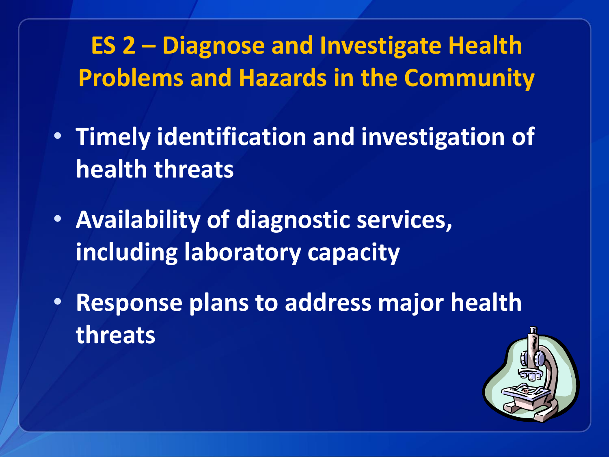**ES 2 – Diagnose and Investigate Health Problems and Hazards in the Community**

- **Timely identification and investigation of health threats**
- **Availability of diagnostic services, including laboratory capacity**
- **Response plans to address major health threats**

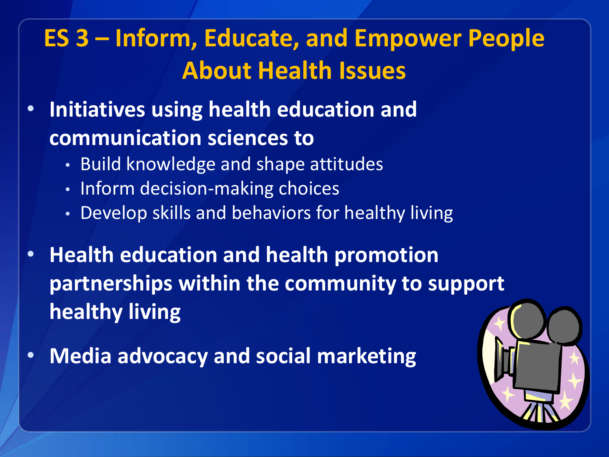#### **ES 3 – Inform, Educate, and Empower People About Health Issues**

- **Initiatives using health education and communication sciences to**
	- Build knowledge and shape attitudes
	- Inform decision-making choices
	- Develop skills and behaviors for healthy living
- **Health education and health promotion partnerships within the community to support healthy living**
- **Media advocacy and social marketing**

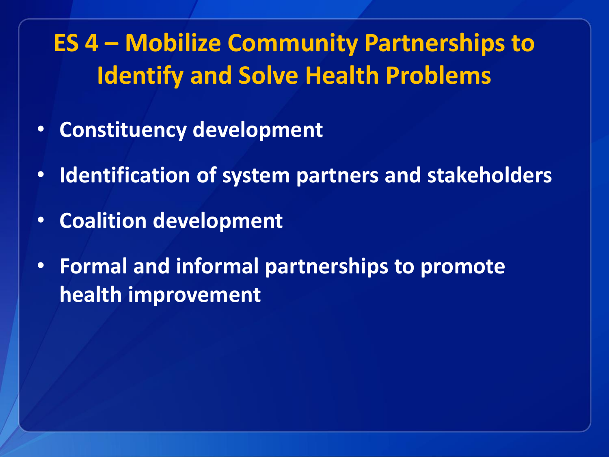**ES 4 – Mobilize Community Partnerships to Identify and Solve Health Problems**

- **Constituency development**
- **Identification of system partners and stakeholders**
- **Coalition development**
- **Formal and informal partnerships to promote health improvement**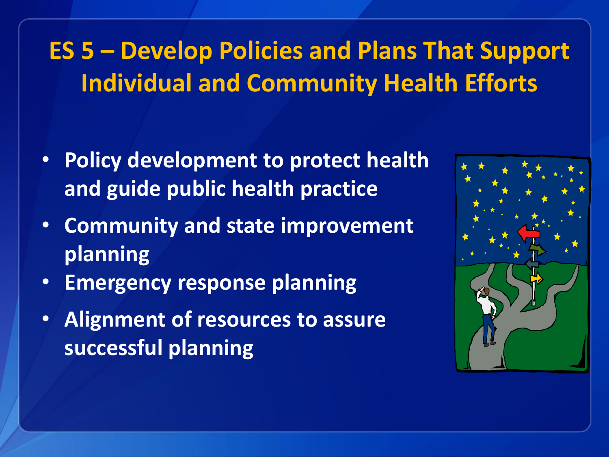#### **ES 5 – Develop Policies and Plans That Support Individual and Community Health Efforts**

- **Policy development to protect health and guide public health practice**
- **Community and state improvement planning**
- **Emergency response planning**
- **Alignment of resources to assure successful planning**

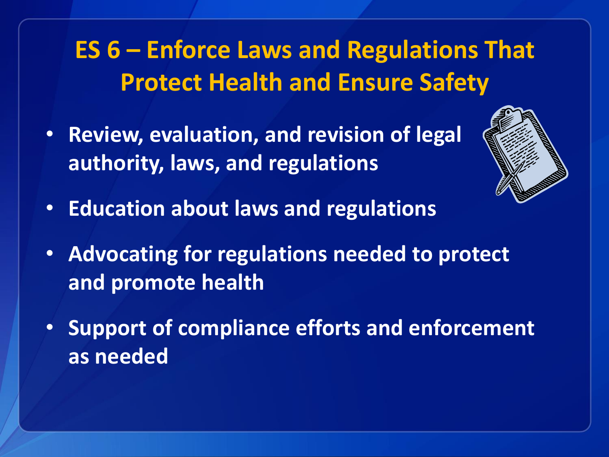#### **ES 6 – Enforce Laws and Regulations That Protect Health and Ensure Safety**

• **Review, evaluation, and revision of legal authority, laws, and regulations** 



- **Education about laws and regulations**
- **Advocating for regulations needed to protect and promote health**
- **Support of compliance efforts and enforcement as needed**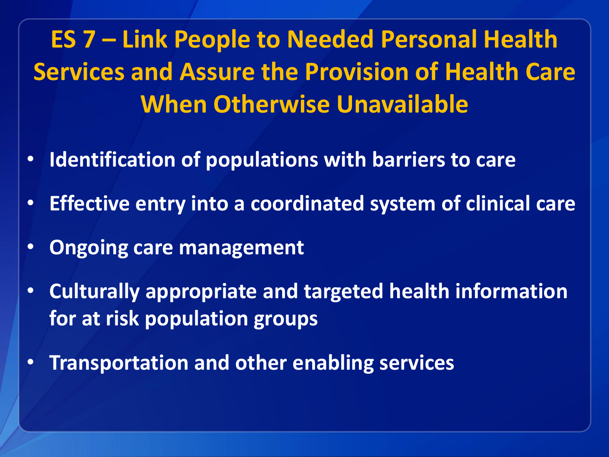**ES 7 – Link People to Needed Personal Health Services and Assure the Provision of Health Care When Otherwise Unavailable**

- **Identification of populations with barriers to care**
- **Effective entry into a coordinated system of clinical care**
- **Ongoing care management**
- **Culturally appropriate and targeted health information for at risk population groups**
- **Transportation and other enabling services**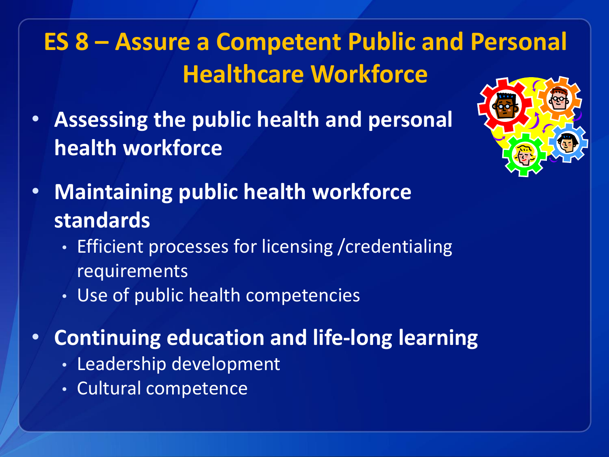#### **ES 8 – Assure a Competent Public and Personal Healthcare Workforce**

• **Assessing the public health and personal health workforce** 



- **Maintaining public health workforce standards**
	- Efficient processes for licensing /credentialing requirements
	- Use of public health competencies
- **Continuing education and life-long learning**
	- Leadership development
	- Cultural competence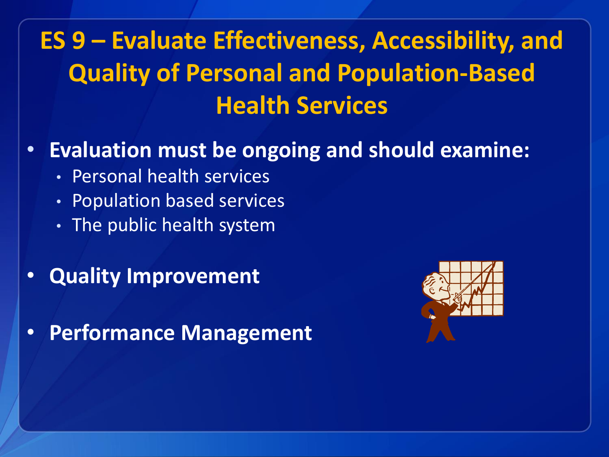### **ES 9 – Evaluate Effectiveness, Accessibility, and Quality of Personal and Population-Based Health Services**

#### • **Evaluation must be ongoing and should examine:**

- Personal health services
- Population based services
- The public health system
- **Quality Improvement**

• **Performance Management**

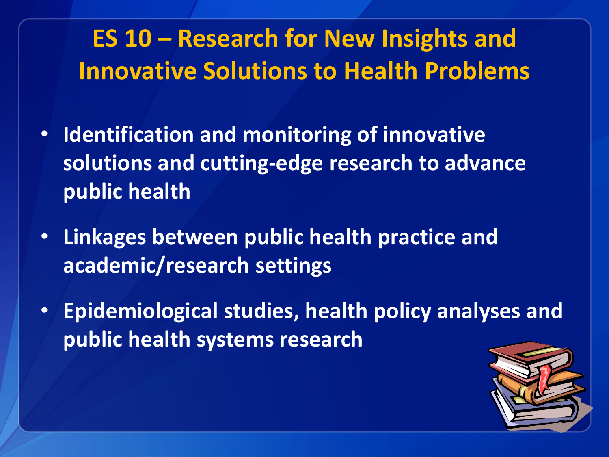#### **ES 10 – Research for New Insights and Innovative Solutions to Health Problems**

- **Identification and monitoring of innovative solutions and cutting-edge research to advance public health**
- **Linkages between public health practice and academic/research settings**
- **Epidemiological studies, health policy analyses and public health systems research**

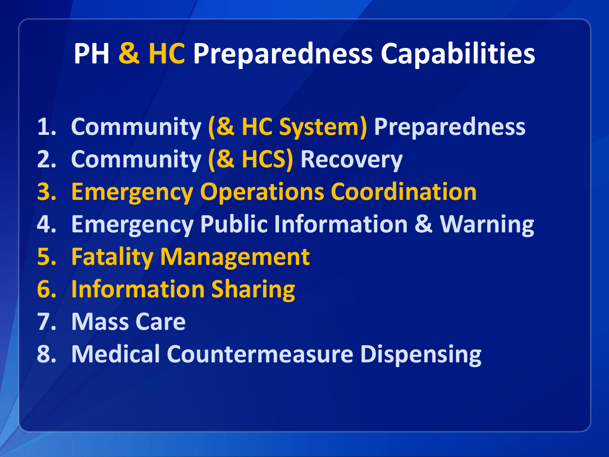#### **PH & HC Preparedness Capabilities**

- **1. Community (& HC System) Preparedness**
- **2. Community (& HCS) Recovery**
- **3. Emergency Operations Coordination**
- **4. Emergency Public Information & Warning**
- **5. Fatality Management**
- **6. Information Sharing**
- **7. Mass Care**
- **8. Medical Countermeasure Dispensing**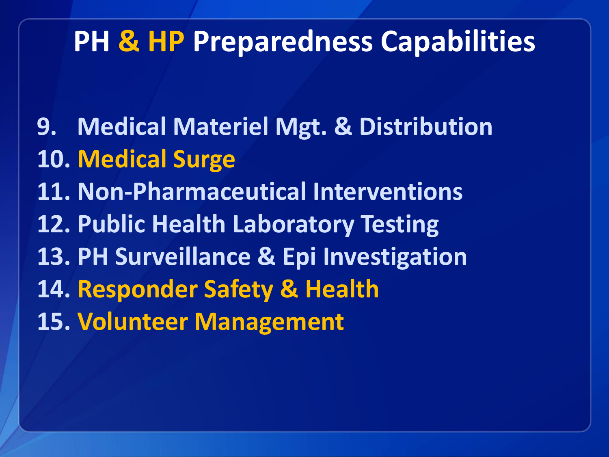#### **PH & HP Preparedness Capabilities**

**9. Medical Materiel Mgt. & Distribution 10. Medical Surge 11. Non-Pharmaceutical Interventions 12. Public Health Laboratory Testing 13. PH Surveillance & Epi Investigation 14. Responder Safety & Health 15. Volunteer Management**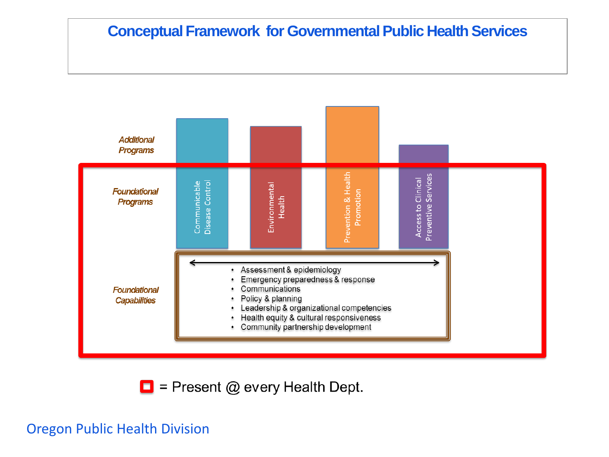#### **Conceptual Framework for Governmental Public Health Services**



 $\Box$  = Present @ every Health Dept.

#### Oregon Public Health Division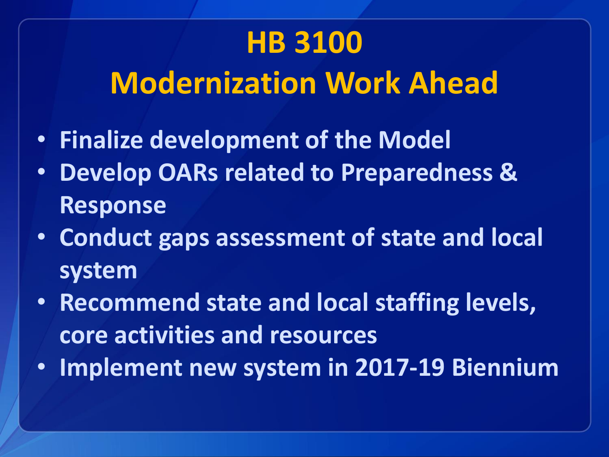# **HB 3100 Modernization Work Ahead**

- **Finalize development of the Model**
- **Develop OARs related to Preparedness & Response**
- **Conduct gaps assessment of state and local system**
- **Recommend state and local staffing levels, core activities and resources**
- **Implement new system in 2017-19 Biennium**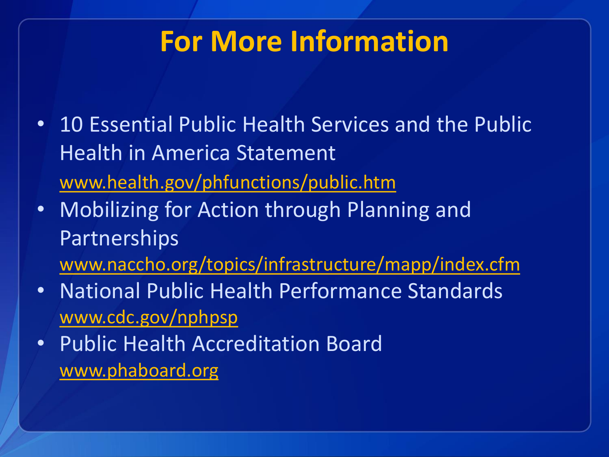### **For More Information**

- 10 Essential Public Health Services and the Public Health in America Statement [www.health.gov/phfunctions/public.htm](http://www.health.gov/phfunctions/public.htm)
- Mobilizing for Action through Planning and Partnerships
	- [www.naccho.org/topics/infrastructure/mapp/index.cfm](http://www.naccho.org/topics/infrastructure/mapp/index.cfm)
- National Public Health Performance Standards [www.cdc.gov/nphpsp](http://www.cdc.gov/nphpsp/)
- Public Health Accreditation Board [www.phaboard.org](http://www.phaboard.org/)